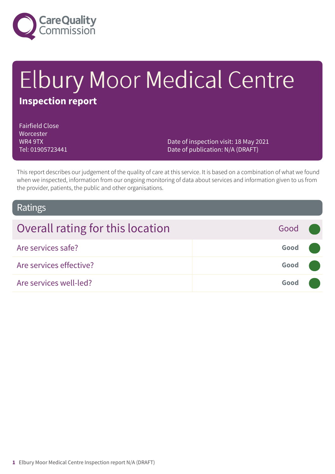

# Elbury Moor Medical Centre **Inspection report**

Fairfield Close **Worcester** WR4 9TX Tel: 01905723441

Date of inspection visit: 18 May 2021 Date of publication: N/A (DRAFT)

This report describes our judgement of the quality of care at this service. It is based on a combination of what we found when we inspected, information from our ongoing monitoring of data about services and information given to us from the provider, patients, the public and other organisations.

### Ratings

| Overall rating for this location | Good ( |  |
|----------------------------------|--------|--|
| Are services safe?               | Good   |  |
| Are services effective?          | Good   |  |
| Are services well-led?           | Good   |  |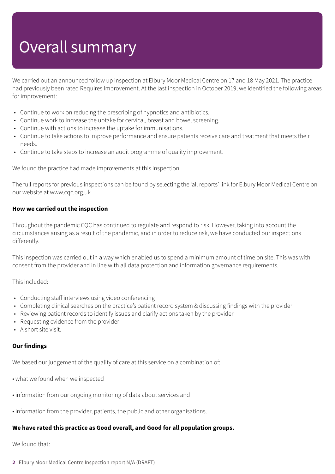# Overall summary

We carried out an announced follow up inspection at Elbury Moor Medical Centre on 17 and 18 May 2021. The practice had previously been rated Requires Improvement. At the last inspection in October 2019, we identified the following areas for improvement:

- Continue to work on reducing the prescribing of hypnotics and antibiotics.
- Continue work to increase the uptake for cervical, breast and bowel screening.
- Continue with actions to increase the uptake for immunisations.
- Continue to take actions to improve performance and ensure patients receive care and treatment that meets their needs.
- Continue to take steps to increase an audit programme of quality improvement.

We found the practice had made improvements at this inspection.

The full reports for previous inspections can be found by selecting the 'all reports' link for Elbury Moor Medical Centre on our website at www.cqc.org.uk

### **How we carried out the inspection**

Throughout the pandemic CQC has continued to regulate and respond to risk. However, taking into account the circumstances arising as a result of the pandemic, and in order to reduce risk, we have conducted our inspections differently.

This inspection was carried out in a way which enabled us to spend a minimum amount of time on site. This was with consent from the provider and in line with all data protection and information governance requirements.

This included:

- Conducting staff interviews using video conferencing
- Completing clinical searches on the practice's patient record system & discussing findings with the provider
- Reviewing patient records to identify issues and clarify actions taken by the provider
- Requesting evidence from the provider
- A short site visit.

### **Our findings**

We based our judgement of the quality of care at this service on a combination of:

- what we found when we inspected
- information from our ongoing monitoring of data about services and
- information from the provider, patients, the public and other organisations.

### **We have rated this practice as Good overall, and Good for all population groups.**

#### We found that:

**2** Elbury Moor Medical Centre Inspection report N/A (DRAFT)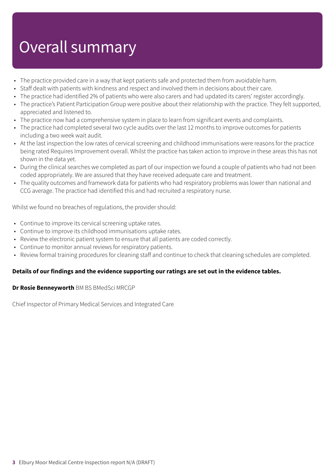## Overall summary

- The practice provided care in a way that kept patients safe and protected them from avoidable harm.
- Staff dealt with patients with kindness and respect and involved them in decisions about their care.
- The practice had identified 2% of patients who were also carers and had updated its carers' register accordingly.
- The practice's Patient Participation Group were positive about their relationship with the practice. They felt supported, appreciated and listened to.
- The practice now had a comprehensive system in place to learn from significant events and complaints.
- The practice had completed several two cycle audits over the last 12 months to improve outcomes for patients including a two week wait audit.
- At the last inspection the low rates of cervical screening and childhood immunisations were reasons for the practice being rated Requires Improvement overall. Whilst the practice has taken action to improve in these areas this has not shown in the data yet.
- During the clinical searches we completed as part of our inspection we found a couple of patients who had not been coded appropriately. We are assured that they have received adequate care and treatment.
- The quality outcomes and framework data for patients who had respiratory problems was lower than national and CCG average. The practice had identified this and had recruited a respiratory nurse.

Whilst we found no breaches of regulations, the provider should:

- Continue to improve its cervical screening uptake rates.
- Continue to improve its childhood immunisations uptake rates.
- Review the electronic patient system to ensure that all patients are coded correctly.
- Continue to monitor annual reviews for respiratory patients.
- Review formal training procedures for cleaning staff and continue to check that cleaning schedules are completed.

### **Details of our findings and the evidence supporting our ratings are set out in the evidence tables.**

#### **Dr Rosie Benneyworth** BM BS BMedSci MRCGP

Chief Inspector of Primary Medical Services and Integrated Care